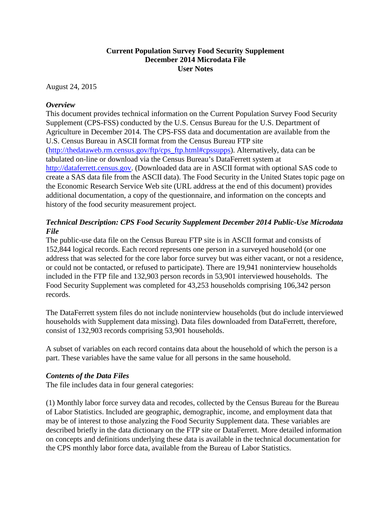## **Current Population Survey Food Security Supplement December 2014 Microdata File User Notes**

August 24, 2015

## *Overview*

This document provides technical information on the Current Population Survey Food Security Supplement (CPS-FSS) conducted by the U.S. Census Bureau for the U.S. Department of Agriculture in December 2014. The CPS-FSS data and documentation are available from the U.S. Census Bureau in ASCII format from the Census Bureau FTP site [\(http://thedataweb.rm.census.gov/ftp/cps\\_ftp.html#cpssupps\)](http://thedataweb.rm.census.gov/ftp/cps_ftp.html%23cpssupps). Alternatively, data can be tabulated on-line or download via the Census Bureau's DataFerrett system at [http://dataferrett.census.gov.](http://dataferrett.census.gov/) (Downloaded data are in ASCII format with optional SAS code to create a SAS data file from the ASCII data). The Food Security in the United States topic page on the Economic Research Service Web site (URL address at the end of this document) provides additional documentation, a copy of the questionnaire, and information on the concepts and history of the food security measurement project.

# *Technical Description: CPS Food Security Supplement December 2014 Public-Use Microdata File*

The public-use data file on the Census Bureau FTP site is in ASCII format and consists of 152,844 logical records. Each record represents one person in a surveyed household (or one address that was selected for the core labor force survey but was either vacant, or not a residence, or could not be contacted, or refused to participate). There are 19,941 noninterview households included in the FTP file and 132,903 person records in 53,901 interviewed households. The Food Security Supplement was completed for 43,253 households comprising 106,342 person records.

The DataFerrett system files do not include noninterview households (but do include interviewed households with Supplement data missing). Data files downloaded from DataFerrett, therefore, consist of 132,903 records comprising 53,901 households.

A subset of variables on each record contains data about the household of which the person is a part. These variables have the same value for all persons in the same household.

## *Contents of the Data Files*

The file includes data in four general categories:

(1) Monthly labor force survey data and recodes, collected by the Census Bureau for the Bureau of Labor Statistics. Included are geographic, demographic, income, and employment data that may be of interest to those analyzing the Food Security Supplement data. These variables are described briefly in the data dictionary on the FTP site or DataFerrett. More detailed information on concepts and definitions underlying these data is available in the technical documentation for the CPS monthly labor force data, available from the Bureau of Labor Statistics.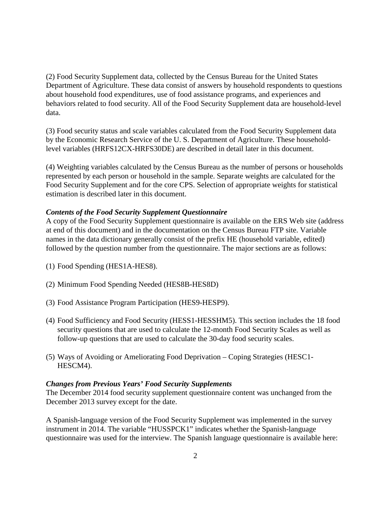(2) Food Security Supplement data, collected by the Census Bureau for the United States Department of Agriculture. These data consist of answers by household respondents to questions about household food expenditures, use of food assistance programs, and experiences and behaviors related to food security. All of the Food Security Supplement data are household-level data.

(3) Food security status and scale variables calculated from the Food Security Supplement data by the Economic Research Service of the U. S. Department of Agriculture. These householdlevel variables (HRFS12CX-HRFS30DE) are described in detail later in this document.

(4) Weighting variables calculated by the Census Bureau as the number of persons or households represented by each person or household in the sample. Separate weights are calculated for the Food Security Supplement and for the core CPS. Selection of appropriate weights for statistical estimation is described later in this document.

#### *Contents of the Food Security Supplement Questionnaire*

A copy of the Food Security Supplement questionnaire is available on the ERS Web site (address at end of this document) and in the documentation on the Census Bureau FTP site. Variable names in the data dictionary generally consist of the prefix HE (household variable, edited) followed by the question number from the questionnaire. The major sections are as follows:

- (1) Food Spending (HES1A-HES8).
- (2) Minimum Food Spending Needed (HES8B-HES8D)
- (3) Food Assistance Program Participation (HES9-HESP9).
- (4) Food Sufficiency and Food Security (HESS1-HESSHM5). This section includes the 18 food security questions that are used to calculate the 12-month Food Security Scales as well as follow-up questions that are used to calculate the 30-day food security scales.
- (5) Ways of Avoiding or Ameliorating Food Deprivation Coping Strategies (HESC1- HESCM4).

#### *Changes from Previous Years' Food Security Supplements*

The December 2014 food security supplement questionnaire content was unchanged from the December 2013 survey except for the date.

A Spanish-language version of the Food Security Supplement was implemented in the survey instrument in 2014. The variable "HUSSPCK1" indicates whether the Spanish-language questionnaire was used for the interview. The Spanish language questionnaire is available here: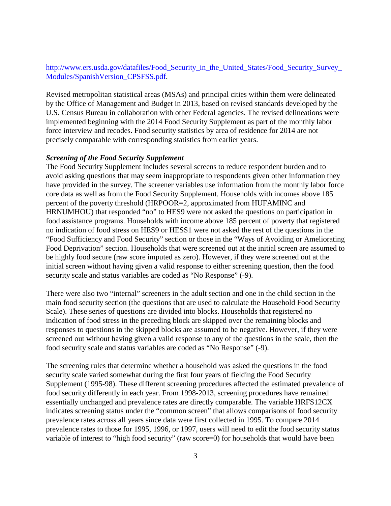## [http://www.ers.usda.gov/datafiles/Food\\_Security\\_in\\_the\\_United\\_States/Food\\_Security\\_Survey\\_](http://www.ers.usda.gov/datafiles/Food_Security_in_the_United_States/Food_Security_Survey_Modules/SpanishVersion_CPSFSS.pdf) [Modules/SpanishVersion\\_CPSFSS.pdf.](http://www.ers.usda.gov/datafiles/Food_Security_in_the_United_States/Food_Security_Survey_Modules/SpanishVersion_CPSFSS.pdf)

Revised metropolitan statistical areas (MSAs) and principal cities within them were delineated by the Office of Management and Budget in 2013, based on revised standards developed by the U.S. Census Bureau in collaboration with other Federal agencies. The revised delineations were implemented beginning with the 2014 Food Security Supplement as part of the monthly labor force interview and recodes. Food security statistics by area of residence for 2014 are not precisely comparable with corresponding statistics from earlier years.

#### *Screening of the Food Security Supplement*

The Food Security Supplement includes several screens to reduce respondent burden and to avoid asking questions that may seem inappropriate to respondents given other information they have provided in the survey. The screener variables use information from the monthly labor force core data as well as from the Food Security Supplement. Households with incomes above 185 percent of the poverty threshold (HRPOOR=2, approximated from HUFAMINC and HRNUMHOU) that responded "no" to HES9 were not asked the questions on participation in food assistance programs. Households with income above 185 percent of poverty that registered no indication of food stress on HES9 or HESS1 were not asked the rest of the questions in the "Food Sufficiency and Food Security" section or those in the "Ways of Avoiding or Ameliorating Food Deprivation" section. Households that were screened out at the initial screen are assumed to be highly food secure (raw score imputed as zero). However, if they were screened out at the initial screen without having given a valid response to either screening question, then the food security scale and status variables are coded as "No Response" (-9).

There were also two "internal" screeners in the adult section and one in the child section in the main food security section (the questions that are used to calculate the Household Food Security Scale). These series of questions are divided into blocks. Households that registered no indication of food stress in the preceding block are skipped over the remaining blocks and responses to questions in the skipped blocks are assumed to be negative. However, if they were screened out without having given a valid response to any of the questions in the scale, then the food security scale and status variables are coded as "No Response" (-9).

The screening rules that determine whether a household was asked the questions in the food security scale varied somewhat during the first four years of fielding the Food Security Supplement (1995-98). These different screening procedures affected the estimated prevalence of food security differently in each year. From 1998-2013, screening procedures have remained essentially unchanged and prevalence rates are directly comparable. The variable HRFS12CX indicates screening status under the "common screen" that allows comparisons of food security prevalence rates across all years since data were first collected in 1995. To compare 2014 prevalence rates to those for 1995, 1996, or 1997, users will need to edit the food security status variable of interest to "high food security" (raw score=0) for households that would have been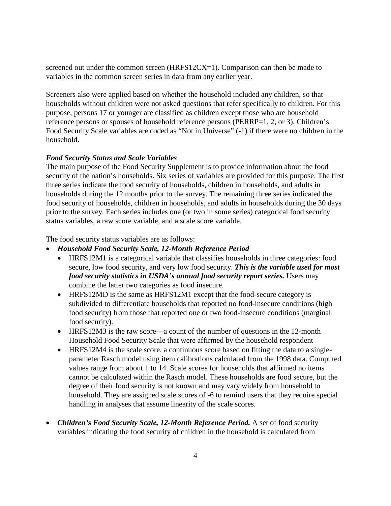screened out under the common screen (HRFS12CX=1). Comparison can then be made to variables in the common screen series in data from any earlier year.

Screeners also were applied based on whether the household included any children, so that households without children were not asked questions that refer specifically to children. For this purpose, persons 17 or younger are classified as children except those who are household reference persons or spouses of household reference persons (PERRP=1, 2, or 3). Children's Food Security Scale variables are coded as "Not in Universe" (-1) if there were no children in the household.

## *Food Security Status and Scale Variables*

The main purpose of the Food Security Supplement is to provide information about the food security of the nation's households. Six series of variables are provided for this purpose. The first three series indicate the food security of households, children in households, and adults in households during the 12 months prior to the survey. The remaining three series indicated the food security of households, children in households, and adults in households during the 30 days prior to the survey. Each series includes one (or two in some series) categorical food security status variables, a raw score variable, and a scale score variable.

The food security status variables are as follows:

- *Household Food Security Scale, 12-Month Reference Period*
	- HRFS12M1 is a categorical variable that classifies households in three categories: food secure, low food security, and very low food security. *This is the variable used for most food security statistics in USDA's annual food security report series.* Users may combine the latter two categories as food insecure.
	- HRFS12MD is the same as HRFS12M1 except that the food-secure category is subdivided to differentiate households that reported no food-insecure conditions (high food security) from those that reported one or two food-insecure conditions (marginal food security).
	- HRFS12M3 is the raw score—a count of the number of questions in the 12-month Household Food Security Scale that were affirmed by the household respondent
	- HRFS12M4 is the scale score, a continuous score based on fitting the data to a singleparameter Rasch model using item calibrations calculated from the 1998 data. Computed values range from about 1 to 14. Scale scores for households that affirmed no items cannot be calculated within the Rasch model. These households are food secure, but the degree of their food security is not known and may vary widely from household to household. They are assigned scale scores of -6 to remind users that they require special handling in analyses that assume linearity of the scale scores.
- *Children's Food Security Scale, 12-Month Reference Period.* A set of food security variables indicating the food security of children in the household is calculated from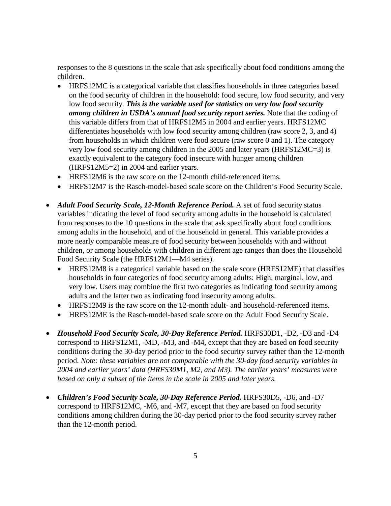responses to the 8 questions in the scale that ask specifically about food conditions among the children.

- HRFS12MC is a categorical variable that classifies households in three categories based on the food security of children in the household: food secure, low food security, and very low food security. *This is the variable used for statistics on very low food security among children in USDA's annual food security report series.* Note that the coding of this variable differs from that of HRFS12M5 in 2004 and earlier years. HRFS12MC differentiates households with low food security among children (raw score 2, 3, and 4) from households in which children were food secure (raw score 0 and 1). The category very low food security among children in the 2005 and later years (HRFS12MC=3) is exactly equivalent to the category food insecure with hunger among children (HRFS12M5=2) in 2004 and earlier years.
- HRFS12M6 is the raw score on the 12-month child-referenced items.
- HRFS12M7 is the Rasch-model-based scale score on the Children's Food Security Scale.
- *Adult Food Security Scale, 12-Month Reference Period.* A set of food security status variables indicating the level of food security among adults in the household is calculated from responses to the 10 questions in the scale that ask specifically about food conditions among adults in the household, and of the household in general. This variable provides a more nearly comparable measure of food security between households with and without children, or among households with children in different age ranges than does the Household Food Security Scale (the HRFS12M1—M4 series).
	- HRFS12M8 is a categorical variable based on the scale score (HRFS12ME) that classifies households in four categories of food security among adults: High, marginal, low, and very low. Users may combine the first two categories as indicating food security among adults and the latter two as indicating food insecurity among adults.
	- HRFS12M9 is the raw score on the 12-month adult- and household-referenced items.
	- HRFS12ME is the Rasch-model-based scale score on the Adult Food Security Scale.
- *Household Food Security Scale, 30-Day Reference Period.* HRFS30D1, -D2, -D3 and -D4 correspond to HRFS12M1, -MD, -M3, and -M4, except that they are based on food security conditions during the 30-day period prior to the food security survey rather than the 12-month period. *Note: these variables are not comparable with the 30-day food security variables in 2004 and earlier years' data (HRFS30M1, M2, and M3). The earlier years' measures were based on only a subset of the items in the scale in 2005 and later years.*
- *Children's Food Security Scale, 30-Day Reference Period.* HRFS30D5, -D6, and -D7 correspond to HRFS12MC, -M6, and -M7, except that they are based on food security conditions among children during the 30-day period prior to the food security survey rather than the 12-month period.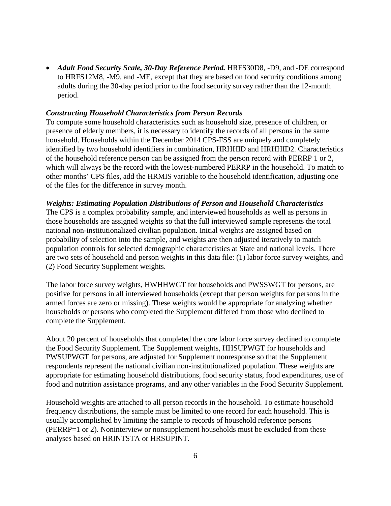• *Adult Food Security Scale, 30-Day Reference Period.* HRFS30D8, -D9, and -DE correspond to HRFS12M8, -M9, and -ME, except that they are based on food security conditions among adults during the 30-day period prior to the food security survey rather than the 12-month period.

#### *Constructing Household Characteristics from Person Records*

To compute some household characteristics such as household size, presence of children, or presence of elderly members, it is necessary to identify the records of all persons in the same household. Households within the December 2014 CPS-FSS are uniquely and completely identified by two household identifiers in combination, HRHHID and HRHHID2. Characteristics of the household reference person can be assigned from the person record with PERRP 1 or 2, which will always be the record with the lowest-numbered PERRP in the household. To match to other months' CPS files, add the HRMIS variable to the household identification, adjusting one of the files for the difference in survey month.

#### *Weights: Estimating Population Distributions of Person and Household Characteristics*

The CPS is a complex probability sample, and interviewed households as well as persons in those households are assigned weights so that the full interviewed sample represents the total national non-institutionalized civilian population. Initial weights are assigned based on probability of selection into the sample, and weights are then adjusted iteratively to match population controls for selected demographic characteristics at State and national levels. There are two sets of household and person weights in this data file: (1) labor force survey weights, and (2) Food Security Supplement weights.

The labor force survey weights, HWHHWGT for households and PWSSWGT for persons, are positive for persons in all interviewed households (except that person weights for persons in the armed forces are zero or missing). These weights would be appropriate for analyzing whether households or persons who completed the Supplement differed from those who declined to complete the Supplement.

About 20 percent of households that completed the core labor force survey declined to complete the Food Security Supplement. The Supplement weights, HHSUPWGT for households and PWSUPWGT for persons, are adjusted for Supplement nonresponse so that the Supplement respondents represent the national civilian non-institutionalized population. These weights are appropriate for estimating household distributions, food security status, food expenditures, use of food and nutrition assistance programs, and any other variables in the Food Security Supplement.

Household weights are attached to all person records in the household. To estimate household frequency distributions, the sample must be limited to one record for each household. This is usually accomplished by limiting the sample to records of household reference persons (PERRP=1 or 2). Noninterview or nonsupplement households must be excluded from these analyses based on HRINTSTA or HRSUPINT.